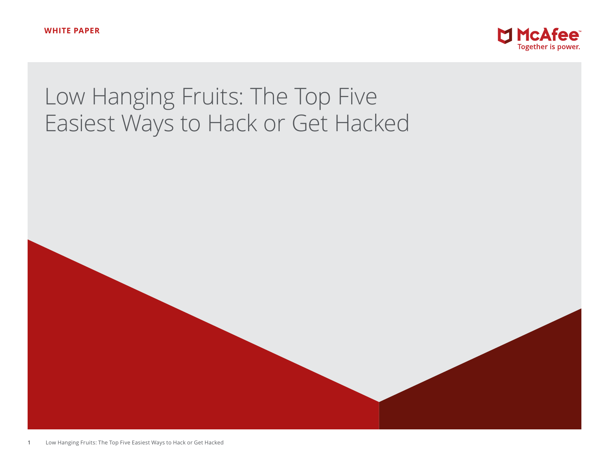

# Low Hanging Fruits: The Top Five Easiest Ways to Hack or Get Hacked

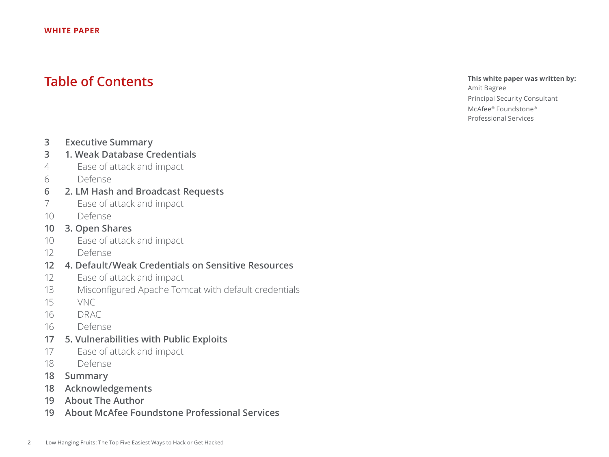## **Table of Contents**

## **This white paper was written by:**

Amit Bagree Principal Security Consultant McAfee® Foundstone® Professional Services

- **3 [Executive Summary](#page-2-0)**
- **3 [1. Weak Database Credentials](#page-2-0)**
- 4 [Ease of attack and impact](#page-3-0)
- [6 Defense](#page-5-0)
- **6 [2. LM Hash and Broadcast Requests](#page-5-0)**
- 7 [Ease of attack and impact](#page-6-0)
- [10 Defense](#page-9-0)

## **10 [3. Open Shares](#page-9-0)**

- 10 [Ease of attack and impact](#page-9-0)
- [12 Defense](#page-11-0)
- **12 [4. Default/Weak Credentials on Sensitive Resources](#page-11-0)**
- 12 [Ease of attack and impact](#page-11-0)
- 13 [Misconfigured Apache Tomcat with default credentials](#page-12-0)
- [15 VNC](#page-14-0)
- 16 [DRAC](#page-15-0)
- [16 Defense](#page-15-0)
- **17 [5. Vulnerabilities with Public Exploits](#page-16-0)**
- 17 [Ease of attack and impact](#page-16-0)
- [18 Defense](#page-17-0)
- **18 [Summary](#page-17-0)**
- **18 [Acknowledgements](#page-17-0)**
- **19 [About The Author](#page-18-0)**
- **19 [About McAfee Foundstone Professional Services](#page-18-0)**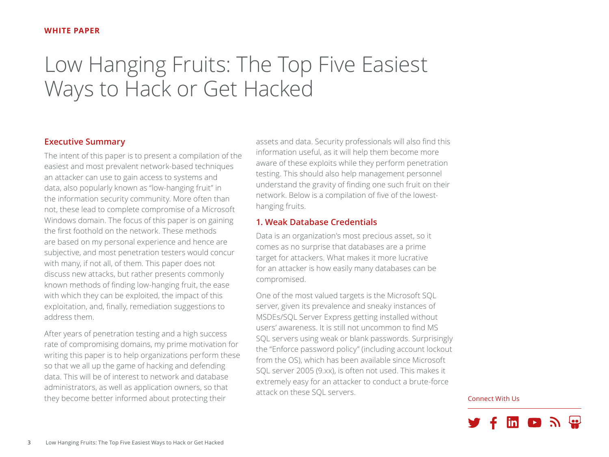## <span id="page-2-0"></span>Low Hanging Fruits: The Top Five Easiest Ways to Hack or Get Hacked

## **Executive Summary**

The intent of this paper is to present a compilation of the easiest and most prevalent network-based techniques an attacker can use to gain access to systems and data, also popularly known as "low-hanging fruit" in the information security community. More often than not, these lead to complete compromise of a Microsoft Windows domain. The focus of this paper is on gaining the first foothold on the network. These methods are based on my personal experience and hence are subjective, and most penetration testers would concur with many, if not all, of them. This paper does not discuss new attacks, but rather presents commonly known methods of finding low-hanging fruit, the ease with which they can be exploited, the impact of this exploitation, and, finally, remediation suggestions to address them.

After years of penetration testing and a high success rate of compromising domains, my prime motivation for writing this paper is to help organizations perform these so that we all up the game of hacking and defending data. This will be of interest to network and database administrators, as well as application owners, so that they become better informed about protecting their

assets and data. Security professionals will also find this information useful, as it will help them become more aware of these exploits while they perform penetration testing. This should also help management personnel understand the gravity of finding one such fruit on their network. Below is a compilation of five of the lowesthanging fruits.

## **1. Weak Database Credentials**

Data is an organization's most precious asset, so it comes as no surprise that databases are a prime target for attackers. What makes it more lucrative for an attacker is how easily many databases can be compromised.

One of the most valued targets is the Microsoft SQL server, given its prevalence and sneaky instances of MSDEs/SQL Server Express getting installed without users' awareness. It is still not uncommon to find MS SQL servers using weak or blank passwords. Surprisingly the "Enforce password policy" (including account lockout from the OS), which has been available since Microsoft SQL server 2005 (9.xx), is often not used. This makes it extremely easy for an attacker to conduct a brute-force attack on these SQL servers.

Connect With Us

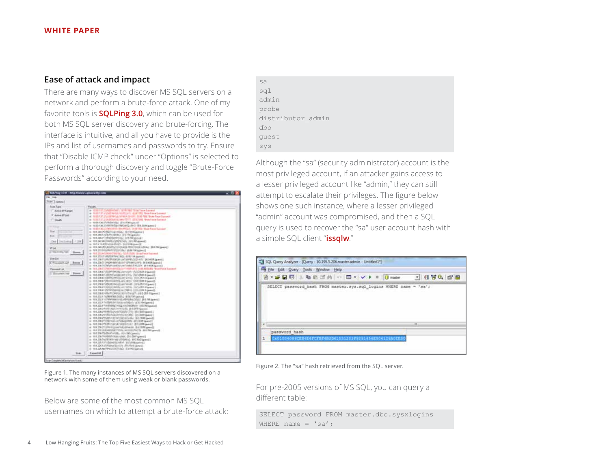## <span id="page-3-0"></span>**Ease of attack and impact**

There are many ways to discover MS SQL servers on a network and perform a brute-force attack. One of my favorite tools is **[SQLPing 3.0](http://www.sqlsecurity.com)**, which can be used for both MS SQL server discovery and brute-forcing. The interface is intuitive, and all you have to provide is the IPs and list of usernames and passwords to try. Ensure that "Disable ICMP check" under "Options" is selected to perform a thorough discovery and toggle "Brute-Force Passwords" according to your need.

| SOUTING 43.0 http://www.ighoractry.com<br>Film Freder<br>Trial Liament<br>Sales Tape<br>Active (IT!) angel<br>* Auto IFGA<br><b>Clayer</b><br>Ting<br><b>TELESCO</b><br><b>Excel</b><br>---<br>Det Including (1394)<br>Wild<br><b>Charles of America</b><br><b>Slow List</b><br>$1 + 4 + 4 + 4$<br>State 1<br><b>Thisweat List</b><br>C. Balancelot and C. Bosson | Found 1<br>a 11 Mill Laborato of A. Mr. Lin. and Lange<br>6. TEXTIF LIFERADA MARCELLA IL GOTTO SAN FORMATO<br>AT THOUGH MAIN WAS ARRESTED FOR THE THIRD WAS ARRESTED FOR<br>a 123013729-905416 (691)1111 (ELECTRIC Train force former)<br>a 1930130/F/Miniska discrimage-12<br>Linear RIS (2012) 2012 SWOWN ASTRONOUS COLUMN<br>in 12.00.130.00 Performance Secretary 31.00 Performance Automotive Secretary 31.00<br>IL 181,240 PHYSIOVANITINAL IEP 9416-aproval 1<br># 101.0451/2570/4998/2 223 Philadelphia<br>a 101247 (Sheldcripts), ST/Rights 11<br>Department University Performance of USI<br>a. NY2YXPRODUMINY, SANDRAGOVY<br>H 101.240.253 (EXPECTIVE DHOSE PRODUCED) AND ALL SEA PRODUCED<br>in 191 233 Mishkell (1920) Sur Auto for speed 2<br>a. 1012034(2000) S230-55300 Straibers because<br>A 1912D F PERMIT REL RIETA GUIDE<br>in 1972/08/21/Ph109506-cm7/0988/2221-471 1974/409 (payed)<br>A 1912年7/2009年前的新时间的时间的时代,并在欧洲Genell<br>In 191.236 NEW PERSON/UNITED RESIDENTS OF A 49-YEAR-OLD<br>in 1912/07/06/historical/info@elate.html Tow food Lacaust<br>ALL FER 2006 & STATEPHONE/USE AND HART LEVEL ON A Special St<br>in 10.1.236 EF-RENT-HIGH-WESTERS - (NEVSEAR Expect)<br>A. TELCHIN GRIPA PHOLOGY UNIV. THE ATLANTA (A<br>II: 131,230 E*/RHY/GMYSLIAC IENC 1093' STR Stawell<br>in 191 230 ETAN HOLLY ANTWART DREAM A spect 1<br>Florida FST/CC (PRESS) AND THE RESIDENCE OF A<br>in 1912 Bld P2500 PHILING TRENT LITTLED \$ (awal).<br>Execute 630.01/2010 Plankfilm (state of the state of at a<br>as 101.232.1 (specialistical), allertation of<br>At 193,232 11/7/PW HMH/F/E/HF/G/NG3022 26 E-786 Special<br>In 1978 202 17 (ultravel to Landscape International Party 202) as<br>in 1912 22 17 (45) 495 VALUE STATES ROOM IN 1914<br>in 101,206,2-5.00 (Automobilistic St Editor) (page) | п |
|-------------------------------------------------------------------------------------------------------------------------------------------------------------------------------------------------------------------------------------------------------------------------------------------------------------------------------------------------------------------|--------------------------------------------------------------------------------------------------------------------------------------------------------------------------------------------------------------------------------------------------------------------------------------------------------------------------------------------------------------------------------------------------------------------------------------------------------------------------------------------------------------------------------------------------------------------------------------------------------------------------------------------------------------------------------------------------------------------------------------------------------------------------------------------------------------------------------------------------------------------------------------------------------------------------------------------------------------------------------------------------------------------------------------------------------------------------------------------------------------------------------------------------------------------------------------------------------------------------------------------------------------------------------------------------------------------------------------------------------------------------------------------------------------------------------------------------------------------------------------------------------------------------------------------------------------------------------------------------------------------------------------------------------------------------------------------------------------------------------------------------------------------------------------------------------------------------|---|
|                                                                                                                                                                                                                                                                                                                                                                   | In 104,236,270,650-24, AvenUSA 2011751, Mr. 2030 Special.<br>a: 1931.236.241.850.06.0010010.021.990 01100091peoc12<br>a 1912 W. Philadelphia (1973) Standard St.<br>Element RCELPR, WRIGHT and San Grand Hills or<br>6-10128-259-12-001000101 311009 (amil)<br>4. THE 230 PERMIT STANDARD REAL BUILDING AND E<br>I MADE AN ARTIST WITH A CONTRACTOR<br>at 161,236.75 (244-5453), (674-561 (penal)                                                                                                                                                                                                                                                                                                                                                                                                                                                                                                                                                                                                                                                                                                                                                                                                                                                                                                                                                                                                                                                                                                                                                                                                                                                                                                                                                                                                                        |   |
| liai                                                                                                                                                                                                                                                                                                                                                              | at 10123879999910036-5986, S113997apendS<br>In 131, CR 7s OF WINNIP (CROWD), WIE RAZAWAY<br>Elevent BASIC PIER AND AN ART PLEASE AND RE-<br># 1012X1d Palmillutor (Richtstawel)<br>A 1012/6 M-FPAULATICAL EXHIBITION<br>Especial.                                                                                                                                                                                                                                                                                                                                                                                                                                                                                                                                                                                                                                                                                                                                                                                                                                                                                                                                                                                                                                                                                                                                                                                                                                                                                                                                                                                                                                                                                                                                                                                        |   |

Figure 1. The many instances of MS SQL servers discovered on a network with some of them using weak or blank passwords.

Below are some of the most common MS SQL usernames on which to attempt a brute-force attack:

```
sa
sql
admin
probe
distributor_admin
dbo
guest
sys
```
Although the "sa" (security administrator) account is the most privileged account, if an attacker gains access to a lesser privileged account like "admin," they can still attempt to escalate their privileges. The figure below shows one such instance, where a lesser privileged "admin" account was compromised, and then a SQL query is used to recover the "sa" user account hash with a simple SQL client "**[issqlw](https://social.msdn.microsoft.com/Forums/sqlserver/en-US/a5d2cccc-ab3d-4c5e-9d89-c1f95461b549/how-to-get-isqlw?forum=sqldataaccess)**."

| File Edit Query Tools Window Help |  |       |
|-----------------------------------|--|-------|
|                                   |  |       |
|                                   |  |       |
|                                   |  |       |
|                                   |  | 1.881 |
| password hash                     |  |       |

Figure 2. The "sa" hash retrieved from the SQL server.

For pre-2005 versions of MS SQL, you can query a different table:

SELECT password FROM master.dbo.sysxlogins WHERE name =  $\text{'sa'}$ ;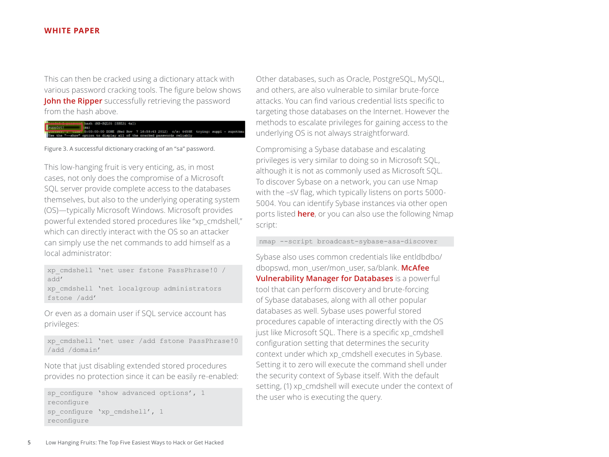This can then be cracked using a dictionary attack with various password cracking tools. The figure below shows **[John the Ripper](http://www.openwall.com/john/)** successfully retrieving the password from the hash above.

## 

Figure 3. A successful dictionary cracking of an "sa" password.

This low-hanging fruit is very enticing, as, in most cases, not only does the compromise of a Microsoft SQL server provide complete access to the databases themselves, but also to the underlying operating system (OS)—typically Microsoft Windows. Microsoft provides powerful extended stored procedures like "xp\_cmdshell," which can directly interact with the OS so an attacker can simply use the net commands to add himself as a local administrator:

xp\_cmdshell 'net user fstone PassPhrase!0 / add'

xp\_cmdshell 'net localgroup administrators fstone /add'

Or even as a domain user if SQL service account has privileges:

```
xp_cmdshell 'net user /add fstone PassPhrase!0 
/add /domain'
```
Note that just disabling extended stored procedures provides no protection since it can be easily re-enabled:

```
sp configure 'show advanced options', 1
reconfigure
sp_configure 'xp_cmdshell', 1
reconfigure
```
Other databases, such as Oracle, PostgreSQL, MySQL, and others, are also vulnerable to similar brute-force attacks. You can find various credential lists specific to targeting those databases on the Internet. However the methods to escalate privileges for gaining access to the underlying OS is not always straightforward.

Compromising a Sybase database and escalating privileges is very similar to doing so in Microsoft SQL, although it is not as commonly used as Microsoft SQL. To discover Sybase on a network, you can use Nmap with the –sV flag, which typically listens on ports 5000- 5004. You can identify Sybase instances via other open ports listed **[here](http://infocenter.sybase.com/help/index.jsp?topic=/com.sybase.infocenter.dc01703.0213/doc/html/eka1238018594631.html)**, or you can also use the following Nmap script:

nmap --script broadcast-sybase-asa-discover

Sybase also uses common credentials like entldbdbo/ dbopswd, mon\_user/mon\_user, sa/blank. **[McAfee](http://www.mcafee.com/us/products/vulnerability-manager-databases.aspx)  [Vulnerability Manager for Databases](http://www.mcafee.com/us/products/vulnerability-manager-databases.aspx)** is a powerful tool that can perform discovery and brute-forcing of Sybase databases, along with all other popular databases as well. Sybase uses powerful stored procedures capable of interacting directly with the OS just like Microsoft SQL. There is a specific xp\_cmdshell configuration setting that determines the security context under which xp\_cmdshell executes in Sybase. Setting it to zero will execute the command shell under the security context of Sybase itself. With the default setting, (1) xp\_cmdshell will execute under the context of the user who is executing the query.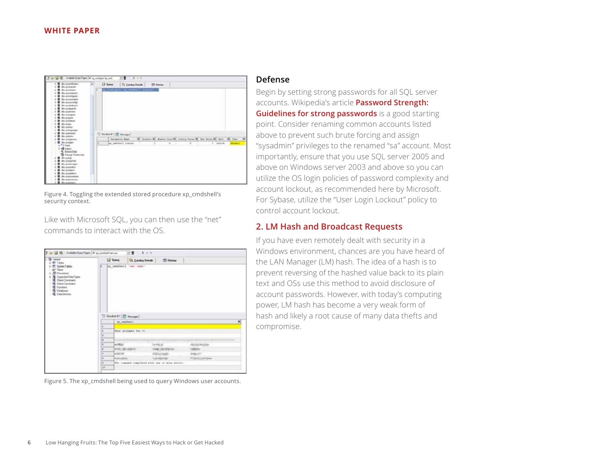<span id="page-5-0"></span>

Figure 4. Toggling the extended stored procedure xp\_cmdshell's security context.

Like with Microsoft SQL, you can then use the "net" commands to interact with the OS.

| <b><i><u>Lakane</u></i></b><br><b>PE Tutino</b>                                                                                                                                                                 |             | Lif Guest              | <b>CA</b> Catalog Details                       | <b>PD History</b> |                                                |
|-----------------------------------------------------------------------------------------------------------------------------------------------------------------------------------------------------------------|-------------|------------------------|-------------------------------------------------|-------------------|------------------------------------------------|
| <b>PT: Sustees Eatland</b><br>"Views<br><b>P</b> Projekter<br><b>N</b> SepsmotDateTupes<br><b>Class Convenients</b><br>毕<br><b>Q</b> Clerk Constraints<br>2 Fundame<br><b>Q</b> Dealanes<br><b>Q</b> Galadinian |             | up undebatt 'net veer' | an a sa s                                       |                   |                                                |
|                                                                                                                                                                                                                 |             | "I health I D Heaps    |                                                 |                   |                                                |
|                                                                                                                                                                                                                 | <b>A.T.</b> | NC Indobel I           |                                                 |                   |                                                |
|                                                                                                                                                                                                                 | ×           | Their accounts for 11. |                                                 |                   |                                                |
|                                                                                                                                                                                                                 |             |                        |                                                 |                   |                                                |
|                                                                                                                                                                                                                 | ×           |                        |                                                 |                   |                                                |
|                                                                                                                                                                                                                 | ٠           |                        |                                                 |                   | <b><i><u>START COMMENTS</u></i></b>            |
|                                                                                                                                                                                                                 | ×           | ardui-                 |                                                 | <b>LACINEER</b>   | ********************<br><b>RISA HUIS</b>       |
|                                                                                                                                                                                                                 | ٠           | <b>STIPL MILINDER</b>  |                                                 | HALLOON AVE       |                                                |
|                                                                                                                                                                                                                 | w           | <b>DECEMBER</b>        |                                                 | <b>Frischwage</b> |                                                |
|                                                                                                                                                                                                                 | in.         | <b>GASTING SERVICE</b> |                                                 | 140/60/90F        | <b><i><u><i><u>CONSTANTING</u></i></u></i></b> |
|                                                                                                                                                                                                                 | ×           |                        | The crossold tragiated with one or more access. |                   |                                                |

Figure 5. The xp\_cmdshell being used to query Windows user accounts.

## **Defense**

Begin by setting strong passwords for all SQL server accounts. Wikipedia's article **[Password Strength:](http://en.wikipedia.org/wiki/Password_strength#Guidelines_for_strong_passwords)  [Guidelines for strong passwords](http://en.wikipedia.org/wiki/Password_strength#Guidelines_for_strong_passwords)** is a good starting point. Consider renaming common accounts listed above to prevent such brute forcing and assign "sysadmin" privileges to the renamed "sa" account. Most importantly, ensure that you use SQL server 2005 and above on Windows server 2003 and above so you can utilize the OS login policies of password complexity and account lockout, as recommended [here](http://support.microsoft.com/kb/2028712) by Microsoft. For Sybase, utilize the "User Login Lockout" policy to control account lockout.

## **2. LM Hash and Broadcast Requests**

If you have even remotely dealt with security in a Windows environment, chances are you have heard of the LAN Manager (LM) hash. The idea of a hash is to prevent reversing of the hashed value back to its plain text and OSs use this method to avoid disclosure of account passwords. However, with today's computing power, LM hash has become a very weak form of hash and likely a root cause of many data thefts and compromise.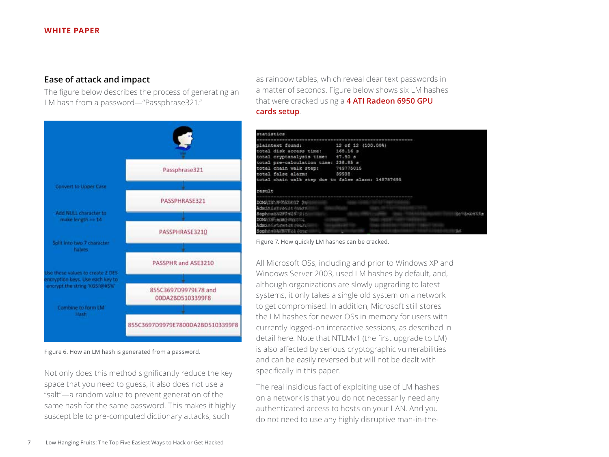## <span id="page-6-0"></span>**Ease of attack and impact**

The figure below describes the process of generating an LM hash from a password—"Passphrase321."



as rainbow tables, which reveal clear text passwords in a matter of seconds. Figure below shows six LM hashes that were cracked using a **[4 ATI Radeon 6950 GPU](http://blog.opensecurityresearch.com/2011/11/setting-up-password-cracking-server.html)  [cards setup](http://blog.opensecurityresearch.com/2011/11/setting-up-password-cracking-server.html)**.

| statistics                                          |                    |      |
|-----------------------------------------------------|--------------------|------|
|                                                     |                    |      |
| plaintext found:                                    | 12 of 12 (100.00%) |      |
| total disk access time: 168.16 s                    |                    |      |
| total cryptanalysis time: 47.90 s                   |                    |      |
| total pre-calculation time: 238.85 s                |                    |      |
| total chain walk step:                              | 749775015          |      |
| total false alarm:                                  | 39938              |      |
| total chain walk step due to false alarm: 148787695 |                    |      |
|                                                     |                    |      |
| result                                              |                    |      |
|                                                     |                    |      |
| DOMESTIC: NEPRESENCION IN                           |                    |      |
| Administration (Engle)                              |                    |      |
| SophosahN2979297911                                 |                    |      |
| DOMESTIC ACRES PRESENT                              |                    |      |
| Adma.8-Cartiese tiddi showing                       |                    |      |
| Sonhessluttures Jour                                |                    | Sec. |

Figure 7. How quickly LM hashes can be cracked.

All Microsoft OSs, including and prior to Windows XP and Windows Server 2003, used LM hashes by default, and, although organizations are slowly upgrading to latest systems, it only takes a single old system on a network to get compromised. In addition, Microsoft still stores the LM hashes for newer OSs in memory for users with currently logged-on interactive sessions, as described in detail [here](http://digital-forensics.sans.org/blog/2012/02/29/protecting-privileged-domain-accounts-lm-hashes-the-good-the-bad-and-the-ugly). Note that NTLMv1 (the first upgrade to LM) is also affected by serious cryptographic vulnerabilities and can be easily reversed but will not be dealt with specifically in this paper.

The real insidious fact of exploiting use of LM hashes on a network is that you do not necessarily need any authenticated access to hosts on your LAN. And you do not need to use any highly disruptive man-in-the-

Figure 6. How an LM hash is generated from a password.

Not only does this method significantly reduce the key space that you need to guess, it also does not use a "salt"—a random value to prevent generation of the same hash for the same password. This makes it highly susceptible to pre-computed dictionary attacks, such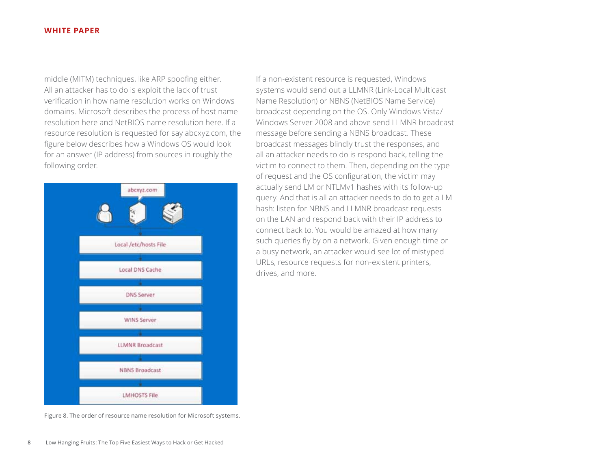middle (MITM) techniques, like ARP spoofing either. All an attacker has to do is exploit the lack of trust verification in how name resolution works on Windows domains. Microsoft describes the process of host name resolution [here](http://support.microsoft.com/kb/172218) and NetBIOS name resolution [here.](http://support.microsoft.com/kb/119493/en-us) If a resource resolution is requested for say abcxyz.com, the figure below describes how a Windows OS would look for an answer (IP address) from sources in roughly the following order.



Figure 8. The order of resource name resolution for Microsoft systems.

If a non-existent resource is requested, Windows systems would send out a LLMNR (Link-Local Multicast Name Resolution) or NBNS (NetBIOS Name Service) broadcast depending on the OS. Only Windows Vista/ Windows Server 2008 and above send LLMNR broadcast message before sending a NBNS broadcast. These broadcast messages blindly trust the responses, and all an attacker needs to do is respond back, telling the victim to connect to them. Then, depending on the type of request and the OS configuration, the victim may actually send LM or NTLMv1 hashes with its follow-up query. And that is all an attacker needs to do to get a LM hash: listen for NBNS and LLMNR broadcast requests on the LAN and respond back with their IP address to connect back to. You would be amazed at how many such queries fly by on a network. Given enough time or a busy network, an attacker would see lot of mistyped URLs, resource requests for non-existent printers, drives, and more.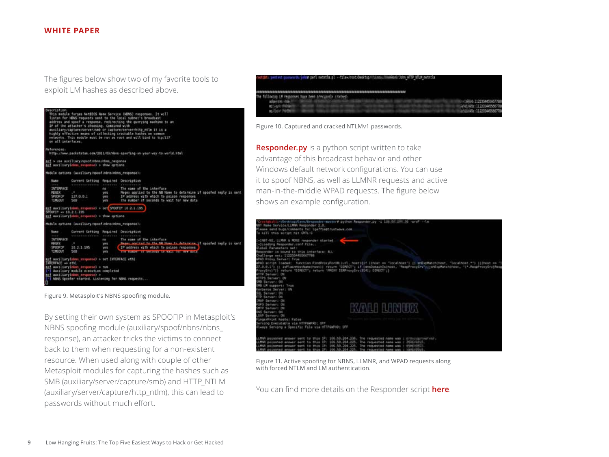The figures below show two of my favorite tools to exploit LM hashes as described above.

| Description:<br>on all interfaces.                                              | IP of the attacker's choosing. Combined with                                                                                                                                                                                 |                             | This module forces NotEDOS Name Service (NBNS) responses. It will<br>listen for NBNS requests sent to the local subnet's broadcast<br>address and spoof a response, redirecting the querying sachine to an<br>auxiliary/capture/server/seb or capture/server/http ntle it is a<br>highly effective means of collecting crackable hashes on common<br>networks. This module must be run as root and will bind to top/137 |
|---------------------------------------------------------------------------------|------------------------------------------------------------------------------------------------------------------------------------------------------------------------------------------------------------------------------|-----------------------------|-------------------------------------------------------------------------------------------------------------------------------------------------------------------------------------------------------------------------------------------------------------------------------------------------------------------------------------------------------------------------------------------------------------------------|
| <b>Ruferences:</b>                                                              |                                                                                                                                                                                                                              |                             | http://ww.packetstan.com/2011/03/Winn-spoofing-on-your-way-to-werld.html                                                                                                                                                                                                                                                                                                                                                |
|                                                                                 | esf > use musiliary/spoof/nbns/cbns response<br>ast sociliary(nhos response) a show options                                                                                                                                  |                             |                                                                                                                                                                                                                                                                                                                                                                                                                         |
|                                                                                 | Madule options (auxiliary/sporf/mbns/mbns_response):                                                                                                                                                                         |                             |                                                                                                                                                                                                                                                                                                                                                                                                                         |
| <b>TARR</b>                                                                     | Current Setting Required Description                                                                                                                                                                                         |                             |                                                                                                                                                                                                                                                                                                                                                                                                                         |
| 1999<br><b>INTERFACE</b><br>REGEL<br>SPOOFS!!<br>TIMEOUT                        | <b>CALL</b><br>127.0.0.1<br>500                                                                                                                                                                                              | no.<br>14.5<br>285<br>363   | a minimum and a<br>The name of the interface<br>Reges applied to the NB Nume to determine if spoofed reply is sent<br>IP address with which to soison responses<br>The number of seconds to wait for new data                                                                                                                                                                                                           |
| SPOOFTP => 10.2.1.195                                                           | esf auxiliaryDnamm response) > set SPOOFEP 10.2.1.195<br>est muriliary (abon response) + thow options                                                                                                                        |                             |                                                                                                                                                                                                                                                                                                                                                                                                                         |
|                                                                                 | Mudule aptions (auxiliary/aposf.nbns/nbns_responsa);                                                                                                                                                                         |                             |                                                                                                                                                                                                                                                                                                                                                                                                                         |
| <b>State</b><br><b>French</b><br><b>INTERFACE</b><br>用力デエ<br>SPOOFDE<br>TIMEOUT | Current Setting Required Oescription<br>SHERRESOEDERS . PERKEELD . PETERPRENE<br>$\sim$<br>39.2.1.195<br>500                                                                                                                 | 100<br>10.5<br>38%<br>1979. | The name of the interface<br>massa seeding to the UR News to determine if uponfed reply it used<br>IP address with which to poison responses<br><b>A FOR A LONGITUDE AND RESIDENCE OF A REAL PROPERTY AND RELEASE</b>                                                                                                                                                                                                   |
| IMIDWACE => athl<br>O                                                           | msf auxiliary(norm response) > set INTERFACE ethi<br>ast suitiaryinden responses > run<br>['] musliary module execution completed<br>msf auxiliaryimbro response) ><br>I'l NOVS Spoofer started. Listening for NOVS requests |                             |                                                                                                                                                                                                                                                                                                                                                                                                                         |

Figure 9. Metasploit's NBNS spoofing module.

By setting their own system as SPOOFIP in Metasploit's NBNS spoofing module (auxiliary/spoof/nbns/nbns\_ response), an attacker tricks the victims to connect back to them when requesting for a non-existent resource. When used along with couple of other Metasploit modules for capturing the hashes such as SMB (auxiliary/server/capture/smb) and HTTP\_NTLM (auxiliary/server/capture/http\_ntlm), this can lead to passwords without much effort.



Figure 10. Captured and cracked NTLMv1 passwords.

**[Responder.py](https://github.com/SpiderLabs/Responder)** is a python script written to take advantage of this broadcast behavior and other Windows default network configurations. You can use it to spoof NBNS, as well as LLMNR requests and active man-in-the-middle WPAD requests. The figure below shows an example configuration.



Figure 11. Active spoofing for NBNS, LLMNR, and WPAD requests along with forced NTLM and LM authentication.

You can find more details on the Responder script **[here](http://blog.spiderlabs.com/2014/02/responder-20-owning-windows-networks-part-3.html)**.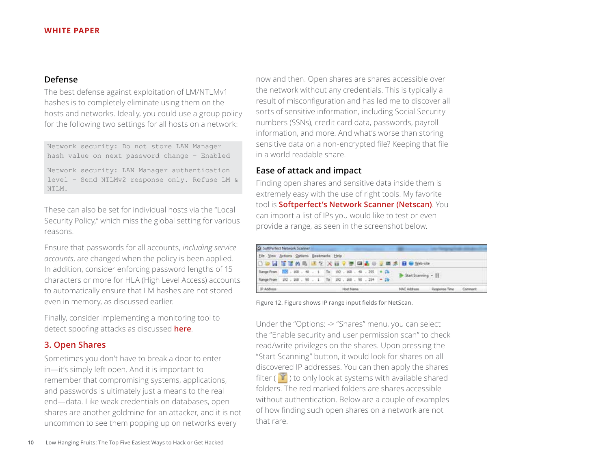## <span id="page-9-0"></span>**Defense**

The best defense against exploitation of LM/NTLMv1 hashes is to completely eliminate using them on the hosts and networks. Ideally, you could use a group policy for the following two settings for all hosts on a network:

```
Network security: Do not store LAN Manager 
hash value on next password change – Enabled
```
Network security: LAN Manager authentication level – Send NTLMv2 response only. Refuse LM & NTLM.

These can also be set for individual hosts via the "Local Security Policy," which miss the global setting for various reasons.

Ensure that passwords for all accounts, *including service accounts*, are changed when the policy is been applied. In addition, consider enforcing password lengths of 15 characters or more for HLA (High Level Access) accounts to automatically ensure that LM hashes are not stored even in memory, as discussed earlier.

Finally, consider implementing a monitoring tool to detect spoofing attacks as discussed **[here](https://www.netspi.com/blog/entryid/195/identifying-rogue-nbns-spoofers)**.

## **3. Open Shares**

Sometimes you don't have to break a door to enter in—it's simply left open. And it is important to remember that compromising systems, applications, and passwords is ultimately just a means to the real end—data. Like weak credentials on databases, open shares are another goldmine for an attacker, and it is not uncommon to see them popping up on networks every

now and then. Open shares are shares accessible over the network without any credentials. This is typically a result of misconfiguration and has led me to discover all sorts of sensitive information, including Social Security numbers (SSNs), credit card data, passwords, payroll information, and more. And what's worse than storing sensitive data on a non-encrypted file? Keeping that file in a world readable share.

## **Ease of attack and impact**

Finding open shares and sensitive data inside them is extremely easy with the use of right tools. My favorite tool is **[Softperfect's Network Scanner \(Netscan\)](http://www.softperfect.com/products/networkscanner/)**. You can import a list of IPs you would like to test or even provide a range, as seen in the screenshot below.

| Elle View Actions Options Bookmarks Help                          |  |  |  |  |  |                   |  |  |  |  |                                 |               |         |
|-------------------------------------------------------------------|--|--|--|--|--|-------------------|--|--|--|--|---------------------------------|---------------|---------|
|                                                                   |  |  |  |  |  |                   |  |  |  |  | □●図 百葉林島 まて 火田マ李 国品の支票名 日のWeble |               |         |
| Range From (223 - 168 - 40 - 1   To   192 - 168 - 40 - 255 + Ch - |  |  |  |  |  |                   |  |  |  |  | Start Scanning .                |               |         |
| Range From 292 , 168 , 90 , 1 To 192 , 168 , 90 , 254 - 26        |  |  |  |  |  |                   |  |  |  |  |                                 |               |         |
| P Address                                                         |  |  |  |  |  | <b>Host Name:</b> |  |  |  |  | <b>MAC Address</b>              | Response Time | Comment |

Figure 12. Figure shows IP range input fields for NetScan.

Under the "Options: -> "Shares" menu, you can select the "Enable security and user permission scan" to check read/write privileges on the shares. Upon pressing the "Start Scanning" button, it would look for shares on all discovered IP addresses. You can then apply the shares filter ( $\mathbf{V}$ ) to only look at systems with available shared folders. The red marked folders are shares accessible without authentication. Below are a couple of examples of how finding such open shares on a network are not that rare.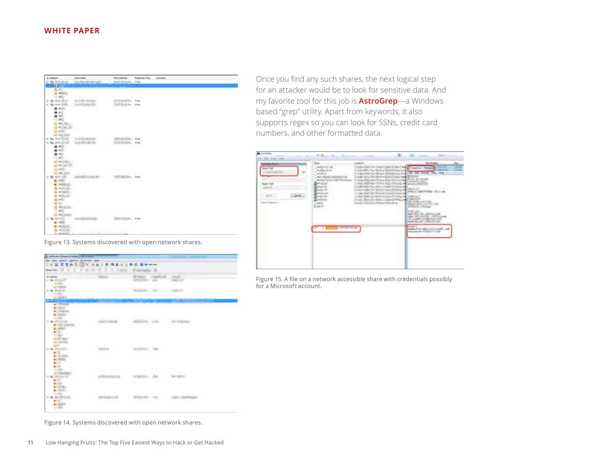| 37 Address                                             | <b>Hot Turns</b>                             |                                        | FIKCAIZHIS Assures The Connect |  |
|--------------------------------------------------------|----------------------------------------------|----------------------------------------|--------------------------------|--|
| 3 46 104 101 10                                        | <b>Worldwidt and</b>                         | <b>JEEP LINE IN</b>                    |                                |  |
| $\bullet$                                              |                                              |                                        |                                |  |
| <b>△ CE</b>                                            |                                              |                                        |                                |  |
| the additional<br>12,960                               |                                              |                                        |                                |  |
| N.H.COM                                                | A 5141-AA 660                                | GUIDEDIAL RM                           |                                |  |
| W2 10.4 (10.0).                                        | THE OWNER WHEN                               | 312 S-214 4w                           |                                |  |
| 44.003                                                 |                                              |                                        |                                |  |
| <b>March</b>                                           |                                              |                                        |                                |  |
| $\mathbf{a}$ will                                      |                                              |                                        |                                |  |
| 12 Mills                                               |                                              |                                        |                                |  |
| <b>ALL MATERIAL</b>                                    |                                              |                                        |                                |  |
| and Multiplicate.                                      |                                              |                                        |                                |  |
| and artists?                                           |                                              |                                        |                                |  |
| <b>III</b> WE FIRE                                     |                                              |                                        |                                |  |
| <b>ALL N.A WITHE</b><br><b>NE SEA SHOW</b><br>$\equiv$ | <b>LAND BUILDS</b><br><b>Scientification</b> | GRANDING, PM<br><b>GOOD GALL</b> , THE |                                |  |
| 4.40                                                   |                                              |                                        |                                |  |
| a vit                                                  |                                              |                                        |                                |  |
| at him                                                 |                                              |                                        |                                |  |
| TO MAIN                                                |                                              |                                        |                                |  |
| <b>CONTROLL</b>                                        |                                              |                                        |                                |  |
| $12 - 16$ and $30$                                     |                                              |                                        |                                |  |
| and policy."                                           |                                              |                                        |                                |  |
| <b>AT MARINE</b><br><b>By M.S. Sellie 19</b>           |                                              |                                        | 日以下<br>it. her.                |  |
| at retire                                              |                                              |                                        |                                |  |
| all better all                                         |                                              |                                        |                                |  |
| A Million                                              |                                              |                                        |                                |  |
| & wildeling                                            |                                              |                                        |                                |  |
| A williams.                                            |                                              |                                        |                                |  |
| A evin                                                 |                                              |                                        |                                |  |
| ALC U                                                  |                                              |                                        |                                |  |
| 4 WALKER                                               |                                              |                                        |                                |  |
| $-2.395$                                               |                                              |                                        |                                |  |
| <b>ILE AUDITION</b><br>1 62 10.5 (1)                   |                                              | 0101PL. 8 Hz                           |                                |  |
| <b>AC HOSE</b>                                         |                                              |                                        |                                |  |
| K. Nilliam                                             |                                              |                                        |                                |  |
| <b>在14</b> 年度。                                         |                                              |                                        |                                |  |
| <b>R. Milledge</b>                                     |                                              | A construction dealers and a           |                                |  |

Once you find any such shares, the next logical step for an attacker would be to look for sensitive data. And my favorite tool for this job is **[AstroGrep](http://astrogrep.sourceforge.net)**—a Windows based "grep" utility. Apart from keywords, it also supports regex so you can look for SSNs, credit card numbers, and other formatted data.



Figure 15. A file on a network accessible share with credentials possibly for a Microsoft account.

Figure 13. Systems discovered with open network shares.

|                                                                                                                                | Registrati, 2011, 41, 42, 42, 42, 43<br><b>THE OR</b><br>٠<br>٠ | Program Av., 12              |                              |                                    |
|--------------------------------------------------------------------------------------------------------------------------------|-----------------------------------------------------------------|------------------------------|------------------------------|------------------------------------|
| IP AND AND<br>At 94 DE UNITS<br><b>CONTRACTOR</b>                                                                              | <b>CALCULATION</b>                                              | <b>Britain Work</b>          | BONNA PARKERS LIGHT<br>sale. | <b>SAN FRANCISCO</b>               |
| L2 PROTECT<br>in an incident.<br>Fig. 2000 C.                                                                                  |                                                                 | Gilbert Corp.                |                              | <b>SHELL</b>                       |
| <b>CHARLES</b><br><b>A SECOND TO</b><br><b>College</b><br><b>Kilder</b>                                                        |                                                                 |                              |                              | <b>Marine</b>                      |
| <b>Ki children</b><br>all details<br>TOM:                                                                                      |                                                                 |                              |                              |                                    |
| It is informa-<br><b>C. UITL STATISTIC</b><br><b>ALIGNEY - 1</b><br>12,000<br>12 Million<br><b>ED</b> variables<br><b>GREE</b> | AND LONGITY                                                     | advertise com-               |                              | <b>COLLEGEN</b>                    |
| or an extension.<br>ALC: UNK                                                                                                   | <b>Campbell</b>                                                 | <b>STANDARD CORPORATIONS</b> |                              |                                    |
| at inviter-<br>ALCOHOL:<br><b>ACCORD</b><br>all little<br>10,000<br><b>DYNAMINE</b>                                            |                                                                 |                              |                              |                                    |
| II 62 DOUGLE<br>ALC: U                                                                                                         | ANTICAL PRODUCTS.                                               | AURA Ster - Roll             |                              | THE R. P. LEWIS CO., LANSING MICH. |
| Citati<br>at all-bar<br>$-1000$                                                                                                |                                                                 |                              |                              |                                    |
| To the<br>11 42 HOURS CORP.<br>all of the                                                                                      | <b>PHOTOGRAPHICALS</b>                                          | <b>BORDS PRICE</b>           |                              | Audiento di Americano              |

Figure 14. Systems discovered with open network shares.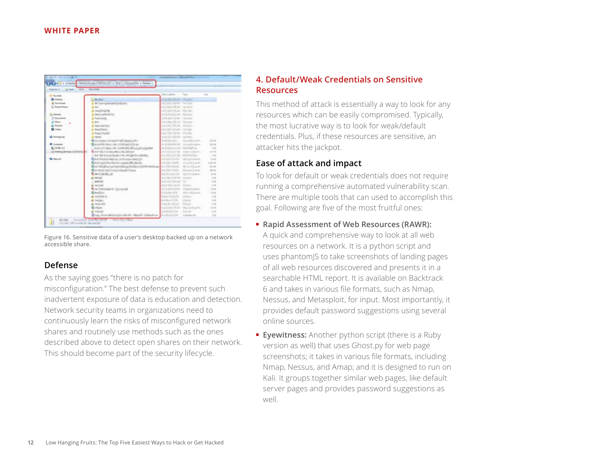<span id="page-11-0"></span>

|                                |                                                                                  | Davi modified 1 - Tues-<br><b>Total</b>                                                                                                                                                                                              |             |
|--------------------------------|----------------------------------------------------------------------------------|--------------------------------------------------------------------------------------------------------------------------------------------------------------------------------------------------------------------------------------|-------------|
| <b>III</b> Favorino            |                                                                                  |                                                                                                                                                                                                                                      |             |
| <b>M</b> India                 | Williams:                                                                        | <b>All of the All of the All of the All of the All of the All of the All of the All of the All of the All of the All of the All of the All of the All of the All of the All of the All of the All of the All of the All of the A</b> |             |
| <b>A Summer</b>                | A Million Service Estate                                                         | The Principal Services                                                                                                                                                                                                               |             |
| 11 Rocard Flasser              | A mill                                                                           | Market's Wall' Tacher                                                                                                                                                                                                                |             |
|                                | <b>E</b> Designation                                                             | USE particular Stevens                                                                                                                                                                                                               |             |
| U. Libraria                    | A TRANSDRIVING                                                                   | Distributory AT - Rendered                                                                                                                                                                                                           |             |
| 13 Securities                  | a fuerishin.                                                                     | Lettersborough the Company of                                                                                                                                                                                                        |             |
| J Marc                         | 当上に○                                                                             | <b>Interview</b> , Skien                                                                                                                                                                                                             |             |
| <b>All Follows (1)</b>         | A. Revision con-                                                                 | Detroited (St., no. 100 taching                                                                                                                                                                                                      |             |
| <b>B</b> Chev                  | A. Pacification                                                                  | <b>DEAM COUNTY CATALOG</b>                                                                                                                                                                                                           |             |
|                                | <b>B</b> Head Analysis                                                           | anticities tennis controller.                                                                                                                                                                                                        |             |
| all thompson                   | E. Seaton                                                                        | Mille Ral (20-ABC) reported to 11 years                                                                                                                                                                                              | $-111$      |
|                                | <b>RISE CONTROLLER AND INTERNATIONAL PROPERTY</b>                                | Hirdust. Seattlet,                                                                                                                                                                                                                   | 33.98       |
| <b>N</b> Samples               | <b>ELECTRON AND CAN UNITED AT ANY</b>                                            | 11 The Microsoft Contract Prints Av.                                                                                                                                                                                                 | 32.38       |
| E. FOR ISS                     | Adjust Faster III, SAN ROLLER EXPERIENCE                                         | a material installation                                                                                                                                                                                                              | $-116$      |
| 100 Seems, Archael Editor 2014 | To a 41 Major territorial confidence dilac collaborary                           | articled motival", trade interests.                                                                                                                                                                                                  | to the code |
|                                | CAA-96 Encyclopadora info@elec-plugs.                                            | and Committee September                                                                                                                                                                                                              | 1,148       |
| <b>W</b> Saturda               | <b>Experience desire in primerited to be</b>                                     | villatority officer-rich.                                                                                                                                                                                                            | $-1140$     |
|                                | <b>REALTER CONTRACTOR CONTRACTOR UNITS</b>                                       | 10.00-MR Hardtown                                                                                                                                                                                                                    | L fol sit   |
|                                | 数以内的图400ml/k00f(ai/20ff(ai)30ff(mith200jaa print@mith_fb-co-htjp=6.              |                                                                                                                                                                                                                                      | WHA 3500    |
|                                | <b>RED IN A CONTRACTOR OF A 1999</b>                                             | pullecrafts modelings.                                                                                                                                                                                                               | 300000      |
|                                | <b>S. MATCHERS ART</b>                                                           | PERMITE, SUMMER                                                                                                                                                                                                                      |             |
|                                |                                                                                  |                                                                                                                                                                                                                                      | 34.89       |
|                                | at Mitalia                                                                       | Contact Mill Street                                                                                                                                                                                                                  | $-4.98$     |
|                                | L'MOVIN,                                                                         | Article Publish The True                                                                                                                                                                                                             | 3.43        |
|                                | a. Antologi                                                                      | activities results in the party of                                                                                                                                                                                                   | 1.439       |
|                                | S. Av Nelsliwar III - Ally Lived                                                 | at the rest scribbing. If the well-contact:                                                                                                                                                                                          | 15.32       |
|                                | <b>Ribellian</b>                                                                 | at his morning  "advance this call as                                                                                                                                                                                                | 14 Mile     |
|                                | at analysis at                                                                   | <b>MAIN FOREST COMPANY</b>                                                                                                                                                                                                           | 100         |
|                                | <b>IK TACAGE</b>                                                                 | advertising control                                                                                                                                                                                                                  | 133         |
|                                | at Outsaler                                                                      | FAIAB MENT, GRANT                                                                                                                                                                                                                    | 3.66        |
|                                | <b>BOAM</b>                                                                      | AUGUST 2018 Thorothuann,                                                                                                                                                                                                             | 11.400      |
|                                | at Calveller                                                                     | Anandreis's Peac<br><b>BAAR VOID</b>                                                                                                                                                                                                 | 148         |
|                                | 15 (a) Elizabeth Companies in the Monte Company of the Company of the Company of | <b>National Print</b>                                                                                                                                                                                                                | 132         |

Figure 16. Sensitive data of a user's desktop backed up on a network accessible share.

## **Defense**

As the saying goes "there is no patch for misconfiguration." The best defense to prevent such inadvertent exposure of data is education and detection. Network security teams in organizations need to continuously learn the risks of misconfigured network shares and routinely use methods such as the ones described above to detect open shares on their network. This should become part of the security lifecycle.

## **4. Default/Weak Credentials on Sensitive Resources**

This method of attack is essentially a way to look for any resources which can be easily compromised. Typically, the most lucrative way is to look for weak/default credentials. Plus, if these resources are sensitive, an attacker hits the jackpot.

## **Ease of attack and impact**

To look for default or weak credentials does not require running a comprehensive automated vulnerability scan. There are multiple tools that can used to accomplish this goal. Following are five of the most fruitful ones:

■ **[Rapid Assessment of Web Resources \(RAWR\):](https://bitbucket.org/al14s/rawr/wiki/Home)**

A quick and comprehensive way to look at all web resources on a network. It is a python script and uses phantomJS to take screenshots of landing pages of all web resources discovered and presents it in a searchable HTML report. It is available on Backtrack 6 and takes in various file formats, such as Nmap, Nessus, and Metasploit, for input. Most importantly, it provides default password suggestions using several online sources.

■ **[Eyewitness](https://www.christophertruncer.com/eyewitness-usage-guide/):** Another python script (there is a Ruby version as well) that uses [Ghost.py](https://github.com/jeanphix/Ghost.py) for web page screenshots; it takes in various file formats, including Nmap, Nessus, and Amap; and it is designed to run on Kali. It groups together similar web pages, like default server pages and provides password suggestions as well.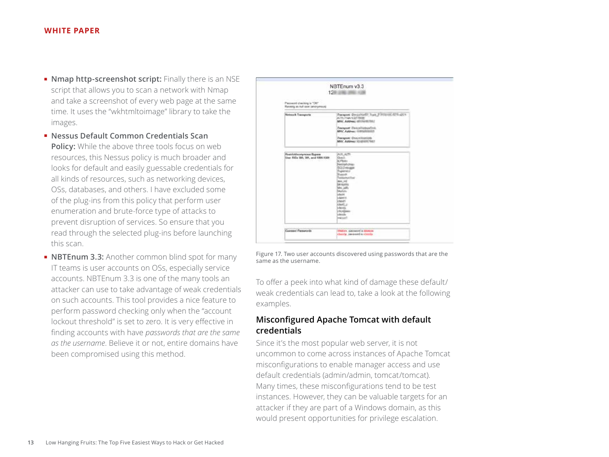- <span id="page-12-0"></span>■ **[Nmap http-screenshot script:](http://blog.spiderlabs.com/2012/06/using-nmap-to-screenshot-web-services.html)** Finally there is an NSE script that allows you to scan a network with Nmap and take a screenshot of every web page at the same time. It uses the "wkhtmltoimage" library to take the images.
- **[Nessus Default Common Credentials Scan](http://www.tenable.com/blog/scanning-for-default-common-credentials-using-nessus)  [Policy:](http://www.tenable.com/blog/scanning-for-default-common-credentials-using-nessus)** While the above three tools focus on web resources, this Nessus policy is much broader and looks for default and easily guessable credentials for all kinds of resources, such as networking devices, OSs, databases, and others. I have excluded some of the plug-ins from this policy that perform user enumeration and brute-force type of attacks to prevent disruption of services. So ensure that you read through the selected plug-ins before launching this scan.
- **[NBTEnum 3.3](http://www.securityfocus.com/archive/1/452622):** Another common blind spot for many IT teams is user accounts on OSs, especially service accounts. NBTEnum 3.3 is one of the many tools an attacker can use to take advantage of weak credentials on such accounts. This tool provides a nice feature to perform password checking only when the "account lockout threshold" is set to zero. It is very effective in finding accounts with have *passwords that are the same as the username*. Believe it or not, entire domains have been compromised using this method.

| Password checking is "OR".<br>Renting as null exer landrymously  |                                                                                                                                                                                                                                                                                                    |
|------------------------------------------------------------------|----------------------------------------------------------------------------------------------------------------------------------------------------------------------------------------------------------------------------------------------------------------------------------------------------|
| <b>Network Transports</b>                                        | Transport: Documental Trans & Williams, 4216-4221-<br>ATN-THA CEFTINE<br>MAC Ambresi: (distinguistic)<br>Transport: Dencariumpedint<br><b>AMC Address Historianism</b><br>Transport: Distormanization<br>MAC Address TO USER THEY                                                                  |
| RestrictAscriptions Bypans<br>Llow: 61Da 500, 501, and 1000.1508 | ALK ALTS<br><b>Guart</b><br><b>C/Rota</b><br>Neiredu<br>san<br><b><i><u>Russian</u></i></b><br>Telefaminatifue<br><b>Box 240</b><br>bélainte<br>plus sales<br><b>Marketin</b><br>choin<br>to hand it.<br>ctest!<br>chill.p<br>icheren.<br>- N.Alberta<br>clestic<br><b><i><u>Indicated</u></i></b> |

Figure 17. Two user accounts discovered using passwords that are the same as the username.

To offer a peek into what kind of damage these default/ weak credentials can lead to, take a look at the following examples.

## **Misconfigured Apache Tomcat with default credentials**

Since it's the most popular web server, it is not uncommon to come across instances of Apache Tomcat misconfigurations to enable manager access and use default credentials (admin/admin, tomcat/tomcat). Many times, these misconfigurations tend to be test instances. However, they can be valuable targets for an attacker if they are part of a Windows domain, as this would present opportunities for privilege escalation.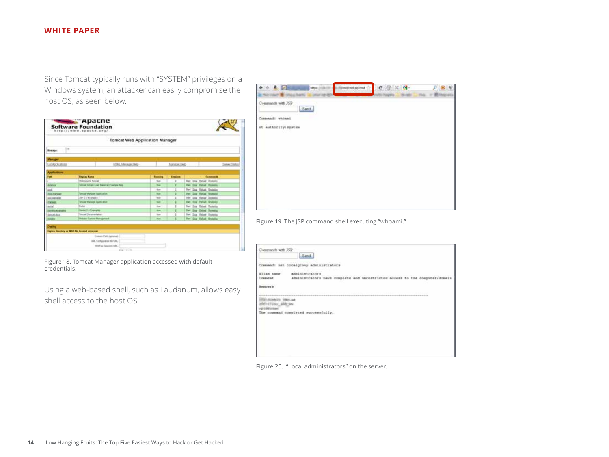Since Tomcat typically runs with "SYSTEM" privileges on a Windows system, an attacker can easily compromise the host OS, as seen below.

|                                                    | <b>Tomcat Web Application Manager</b> |                |                              |                                                 |
|----------------------------------------------------|---------------------------------------|----------------|------------------------------|-------------------------------------------------|
| 1im<br><b>Birmage:</b>                             |                                       |                |                              |                                                 |
| <b><i><u><i><u><b>Darykont</b></u></i></u></i></b> |                                       |                |                              |                                                 |
| <b>Jat Applications</b>                            | HTML Menager Help                     |                | Mangger Help                 | <b>Derver Stottob</b>                           |
| <b>Johnston</b>                                    |                                       |                |                              |                                                 |
| Fam                                                | <b>Display Kone</b>                   | <b>Rooming</b> | <b><i><u>Bandone</u></i></b> | Саминин                                         |
|                                                    | Mexiconne to Thincall                 | <b>Size</b>    |                              | Dox Reball Univers<br>$23 \times 1$             |
| <b>Bancon</b>                                      | Smid Cruis Lief Seurce Eisenste App   | <b>but</b>     | ٠                            | Dog: Fabult Unbang<br><b>Stan</b>               |
| lond                                               |                                       | trust          |                              | Dog Hebat Univers<br>Sker                       |
| <b>SIA HANGE</b>                                   | <b>Secret Manager Agenturine</b>      | <b>Wak</b>     | ٠                            | Die Retief University<br><b>SAAR</b>            |
| <b>Use exactable</b>                               | <b>JOP 2 D Examples</b>               | <b>Truck</b>   | t                            | Dog Retout Undegree<br><b>Siked</b>             |
| tiese                                              | <b>Smilet Weisser Assimator</b>       | <b>Walk</b>    |                              | <b>Stray Parkian Linderplus</b><br><b>Start</b> |
| <b>Butist</b>                                      | Police                                | trus           |                              | Dog Tatest Unitedite<br>Triant                  |
| <b><i>UNIVERSITY</i></b>                           | <b>Genter 2 x Komplex</b>             | <b>Bus</b>     |                              | that this deliver Universe                      |
| <b>Rend Ave</b>                                    | <b>Tomod December@atter</b>           | <b>Touch</b>   | ü                            | <b>That Dog Helsel United</b>                   |
| <b>HASH</b>                                        | <b><i>Visita Called Managened</i></b> | <b>Bid</b>     |                              | <b>Start Class Halvad Undeating</b>             |

Figure 18. Tomcat Manager application accessed with default credentials.

Using a web-based shell, such as [Laudanum,](http://laudanum.inguardians.com/) allows easy shell access to the host OS.

| <b>A.</b> Lots      | https:/ | (Underelate for the | $c \odot x$ $d$ |  |
|---------------------|---------|---------------------|-----------------|--|
|                     |         |                     |                 |  |
| Commands with JSP   |         |                     |                 |  |
|                     | Send    |                     |                 |  |
| Cosmand: whosen     |         |                     |                 |  |
| at authority\system |         |                     |                 |  |
|                     |         |                     |                 |  |
|                     |         |                     |                 |  |
|                     |         |                     |                 |  |
|                     |         |                     |                 |  |
|                     |         |                     |                 |  |
|                     |         |                     |                 |  |
|                     |         |                     |                 |  |
|                     |         |                     |                 |  |
|                     |         |                     |                 |  |
|                     |         |                     |                 |  |
|                     |         |                     |                 |  |
|                     |         |                     |                 |  |

Figure 19. The JSP command shell executing "whoami."

| Commands with JSP     | Serd                                                                                                 |
|-----------------------|------------------------------------------------------------------------------------------------------|
|                       | Commend: net localgroup administrators                                                               |
| Alias name<br>Сожневт | <b>Administrators</b><br>Administrators have complete and uncestricted access to the computer/domain |
| <b>Besters</b>        |                                                                                                      |
|                       | The command completed successfully.                                                                  |
|                       |                                                                                                      |
|                       |                                                                                                      |
|                       |                                                                                                      |

Figure 20. "Local administrators" on the server.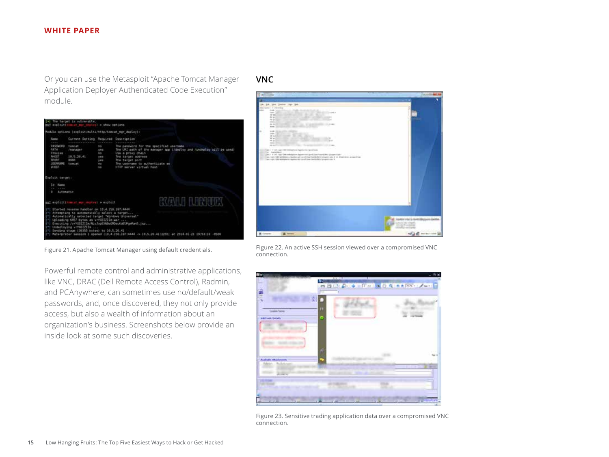<span id="page-14-0"></span>Or you can use the Metasploit "Apache Tomcat Manager Application Deployer Authenticated Code Execution" module.



## **VNC**



Figure 21. Apache Tomcat Manager using default credentials.

Powerful remote control and administrative applications, like VNC, DRAC (Dell Remote Access Control), Radmin, and PCAnywhere, can sometimes use no/default/weak passwords, and, once discovered, they not only provide access, but also a wealth of information about an organization's business. Screenshots below provide an inside look at some such discoveries.

Figure 22. An active SSH session viewed over a compromised VNC connection.



Figure 23. Sensitive trading application data over a compromised VNC connection.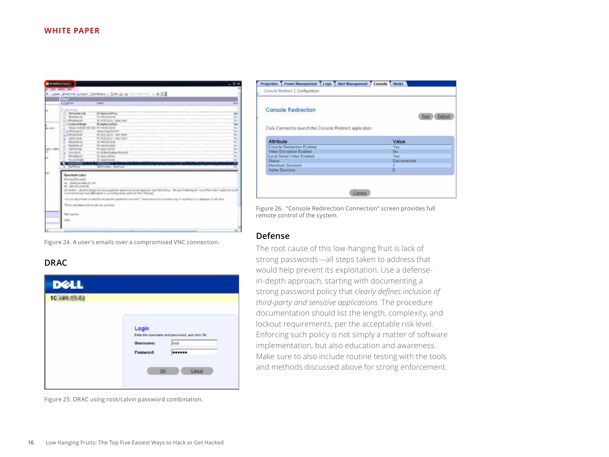<span id="page-15-0"></span>

| of Jam Atlant test                              |                                                                                                                                                |  |
|-------------------------------------------------|------------------------------------------------------------------------------------------------------------------------------------------------|--|
|                                                 |                                                                                                                                                |  |
|                                                 | X likes (Entire labor) (Stellors - Scott) like control - (9 53                                                                                 |  |
| (7.73)                                          |                                                                                                                                                |  |
| 10 km                                           | laband                                                                                                                                         |  |
| U. Lawrence                                     |                                                                                                                                                |  |
| <b>Pull containing</b>                          | all August Auffrag                                                                                                                             |  |
| WISCON                                          | In electricity of                                                                                                                              |  |
| 1. 6 Mit artificial                             | IL VOE AUG. 454-548                                                                                                                            |  |
| <b>Stubiecoup Amabs</b>                         | <b>In contractivities</b>                                                                                                                      |  |
|                                                 | lates miles interest Write force to                                                                                                            |  |
| is a Winnickle                                  | welcast manual life aft.                                                                                                                       |  |
| <b>JANUARIES</b>                                | Al-NOK BLUE take-telest                                                                                                                        |  |
| <b>LEAR TOWN</b>                                | N. 418-16 E. Mileston                                                                                                                          |  |
| <b>REQUIRE AT</b>                               | A VALUE OF B                                                                                                                                   |  |
| <b>Weiseklein</b>                               | <b>RE-AMERICAN DA</b>                                                                                                                          |  |
| <b>John Ferlings</b>                            | W. balle NZIP                                                                                                                                  |  |
| <b>MAYARMS</b>                                  | 20. Harristock for addition (Manito Intel)                                                                                                     |  |
| <b>Bellumedia Just</b>                          | St. Neider Offensey                                                                                                                            |  |
| Northeast                                       | <b>AC Availabilities</b>                                                                                                                       |  |
| <b><i>PARTICULAR</i></b>                        | <b>SHARE</b>                                                                                                                                   |  |
| Raylune                                         | <b>Salid Visitor, Philadelphia</b>                                                                                                             |  |
|                                                 |                                                                                                                                                |  |
| <b>Wendelstart Lake</b>                         |                                                                                                                                                |  |
| Mrtisith                                        |                                                                                                                                                |  |
| No. Leader shirt and successive                 |                                                                                                                                                |  |
| <b>M.</b> Blurth, Jule &                        |                                                                                                                                                |  |
|                                                 | In Duranty - Municipal and the last securities departured from Abundance and Skytechnics, Ale and Highlights Trans-Transit and Transit line to |  |
|                                                 | luminositizations of MR central and relations and the first financial                                                                          |  |
|                                                 | Carl you need on the distribution of problems or market. A dealer for a consideration of a studies of a consideration of the state             |  |
| Twill a leaf shipper individually, may memphing |                                                                                                                                                |  |
|                                                 |                                                                                                                                                |  |
| <b>Real Agreear</b>                             |                                                                                                                                                |  |
|                                                 |                                                                                                                                                |  |
| <b>HELL</b>                                     |                                                                                                                                                |  |
|                                                 |                                                                                                                                                |  |
|                                                 |                                                                                                                                                |  |

Figure 24. A user's emails over a compromised VNC connection.

## **DRAC**

| <b>DELL</b> |                           |                                             |  |
|-------------|---------------------------|---------------------------------------------|--|
|             |                           |                                             |  |
|             | Login<br><b>Username:</b> | Enter the unamane and password, and clok OK |  |
|             | Password:                 |                                             |  |
|             |                           | Cancel<br>œ                                 |  |

Figure 25. DRAC using root/calvin password combination.

| Console Redirection                                                                                                        |                     |
|----------------------------------------------------------------------------------------------------------------------------|---------------------|
|                                                                                                                            | <b>Pont</b> Pehrsh  |
| Click Connect to launch the Console Redirect application.                                                                  |                     |
|                                                                                                                            |                     |
| Attribute                                                                                                                  | Value               |
|                                                                                                                            |                     |
|                                                                                                                            | Yes:                |
|                                                                                                                            | No.                 |
|                                                                                                                            | Yes:                |
| <b><i>SCHOOL NO</i></b>                                                                                                    | <b>Disconnected</b> |
| Console Recirection Enabled<br>Video Encrystion Enabled<br>Local Server Video Enabled<br><b>Stitus</b><br>Maximum Sessions | n.                  |

Figure 26. "Console Redirection Connection" screen provides full remote control of the system.

## **Defense**

The root cause of this low-hanging fruit is lack of strong passwords—all steps taken to address that would help prevent its exploitation. Use a defensein-depth approach, starting with documenting a strong password policy that *clearly defines inclusion of third-party and sensitive applications*. The procedure documentation should list the length, complexity, and lockout requirements, per the acceptable risk level. Enforcing such policy is not simply a matter of software implementation, but also education and awareness. Make sure to also include routine testing with the tools and methods discussed above for strong enforcement.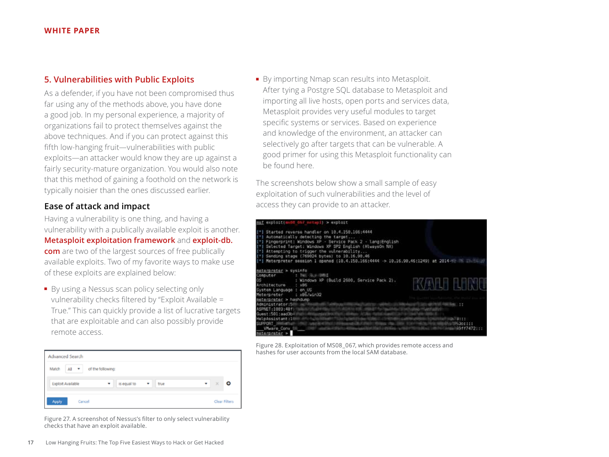## <span id="page-16-0"></span>**5. Vulnerabilities with Public Exploits**

As a defender, if you have not been compromised thus far using any of the methods above, you have done a good job. In my personal experience, a majority of organizations fail to protect themselves against the above techniques. And if you can protect against this fifth low-hanging fruit—vulnerabilities with public exploits—an attacker would know they are up against a fairly security-mature organization. You would also note that this method of gaining a foothold on the network is typically noisier than the ones discussed earlier.

## **Ease of attack and impact**

Having a vulnerability is one thing, and having a vulnerability with a publically available exploit is another. **[Metasploit exploitation framework](http://www.metasploit.com/)** and **[exploit-db.](http://www.exploit-db.com/)**

**[com](http://www.exploit-db.com/)** are two of the largest sources of free publically available exploits. Two of my favorite ways to make use of these exploits are explained below:

■ By using a Nessus scan policy selecting only vulnerability checks filtered by "Exploit Available = True." This can quickly provide a list of lucrative targets that are exploitable and can also possibly provide remote access.

| Advanced Search                            |                  |           |               |  |  |  |  |
|--------------------------------------------|------------------|-----------|---------------|--|--|--|--|
| of the following:<br>Match<br>All <b>v</b> |                  |           |               |  |  |  |  |
| Exploit Available                          | is equal to<br>٠ | ٠<br>true | ۰<br>٠<br>×   |  |  |  |  |
| Apply<br>Cancel                            |                  |           | Clear Filters |  |  |  |  |

Figure 27. A screenshot of Nessus's filter to only select vulnerability checks that have an exploit available.

■ By importing Nmap scan results into Metasploit. After tying a Postgre SQL database to Metasploit and importing all live hosts, open ports and services data, Metasploit provides very useful modules to target specific systems or services. Based on experience and knowledge of the environment, an attacker can selectively go after targets that can be vulnerable. A good primer for using this Metasploit functionality can be found [here](http://www.offensive-security.com/metasploit-unleashed/Using_the_Database).

The screenshots below show a small sample of easy exploitation of such vulnerabilities and the level of access they can provide to an attacker.



Figure 28. Exploitation of MS08\_067, which provides remote access and hashes for user accounts from the local SAM database.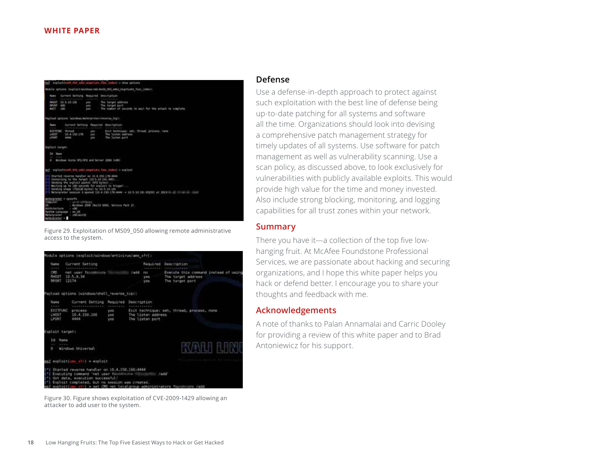<span id="page-17-0"></span>

Figure 29. Exploitation of MS09\_050 allowing remote administrative access to the system.



Figure 30. Figure shows exploitation of CVE-2009-1429 allowing an attacker to add user to the system.

#### **Defense**

Use a defense-in-depth approach to protect against such exploitation with the best line of defense being up-to-date patching for all systems and software all the time. Organizations should look into devising a comprehensive patch management strategy for timely updates of all systems. Use software for patch management as well as vulnerability scanning. Use a scan policy, as discussed above, to look exclusively for vulnerabilities with publicly available exploits. This would provide high value for the time and money invested. Also include strong blocking, monitoring, and logging capabilities for all trust zones within your network.

#### **Summary**

There you have it—a collection of the top five lowhanging fruit. At McAfee Foundstone Professional Services, we are passionate about hacking and securing organizations, and I hope this white paper helps you hack or defend better. I encourage you to share your thoughts and feedback with me.

## **Acknowledgements**

A note of thanks to Palan Annamalai and Carric Dooley for providing a review of this white paper and to Brad Antoniewicz for his support.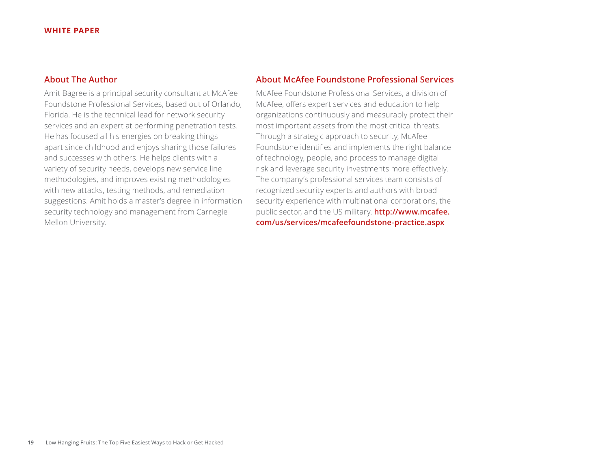## <span id="page-18-0"></span>**About The Author**

Amit Bagree is a principal security consultant at McAfee Foundstone Professional Services, based out of Orlando, Florida. He is the technical lead for network security services and an expert at performing penetration tests. He has focused all his energies on breaking things apart since childhood and enjoys sharing those failures and successes with others. He helps clients with a variety of security needs, develops new service line methodologies, and improves existing methodologies with new attacks, testing methods, and remediation suggestions. Amit holds a master's degree in information security technology and management from Carnegie Mellon University.

## **About McAfee Foundstone Professional Services**

McAfee Foundstone Professional Services, a division of McAfee, offers expert services and education to help organizations continuously and measurably protect their most important assets from the most critical threats. Through a strategic approach to security, McAfee Foundstone identifies and implements the right balance of technology, people, and process to manage digital risk and leverage security investments more effectively. The company's professional services team consists of recognized security experts and authors with broad security experience with multinational corporations, the public sector, and the US military. **[http://www.mcafee.](http://www.mcafee.com/us/services/mcafeefoundstone-practice.aspx) [com/us/services/mcafeefoundstone-practice.aspx](http://www.mcafee.com/us/services/mcafeefoundstone-practice.aspx)**